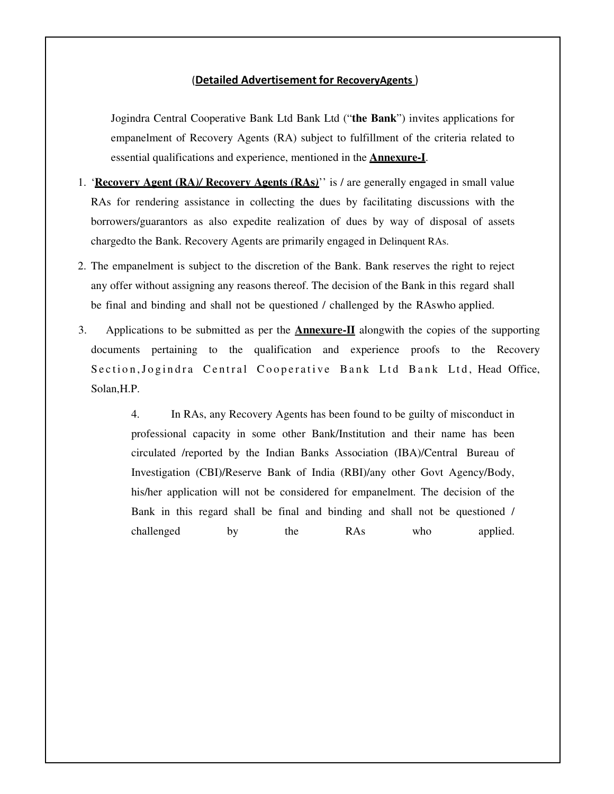### (Detailed Advertisement for RecoveryAgents )

Jogindra Central Cooperative Bank Ltd Bank Ltd ("**the Bank**") invites applications for empanelment of Recovery Agents (RA) subject to fulfillment of the criteria related to essential qualifications and experience, mentioned in the **Annexure-I**.

- 1. '**Recovery Agent (RA***)/* **Recovery Agents (RAs***)*'' is / are generally engaged in small value RAs for rendering assistance in collecting the dues by facilitating discussions with the borrowers/guarantors as also expedite realization of dues by way of disposal of assets charged to the Bank. Recovery Agents are primarily engaged in Delinquent RAs.
- 2. The empanelment is subject to the discretion of the Bank. Bank reserves the right to reject any offer without assigning any reasons thereof. The decision of the Bank in this regard shall be final and binding and shall not be questioned / challenged by the RAs who applied.
- 3. Applications to be submitted as per the **Annexure-II** alongwith the copies of the supporting documents pertaining to the qualification and experience proofs to the Recovery Section, Jogindra Central Cooperative Bank Ltd Bank Ltd, Head Office, Solan,H.P.

4. In RAs, any Recovery Agents has been found to be guilty of misconduct in professional capacity in some other Bank/Institution and their name has been circulated /reported by the Indian Banks Association (IBA)/Central Bureau of Investigation (CBI)/Reserve Bank of India (RBI)/any other Govt Agency/Body, his/her application will not be considered for empanelment. The decision of the Bank in this regard shall be final and binding and shall not be questioned / challenged by the RAs who applied.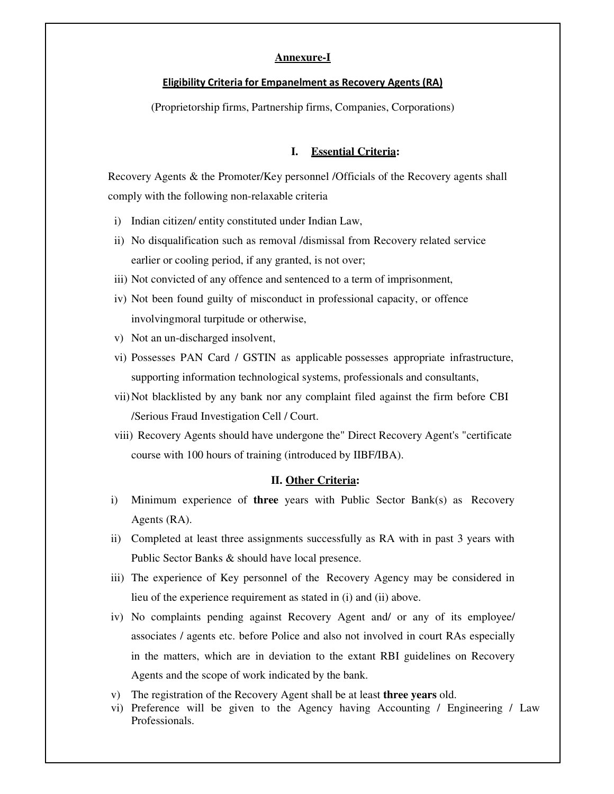### **Annexure-I**

### Eligibility Criteria for Empanelment as Recovery Agents (RA)

(Proprietorship firms, Partnership firms, Companies, Corporations)

### **I. Essential Criteria:**

Recovery Agents & the Promoter/Key personnel /Officials of the Recovery agents shall comply with the following non-relaxable criteria

- i) Indian citizen/ entity constituted under Indian Law,
- ii) No disqualification such as removal /dismissal from Recovery related service earlier or cooling period, if any granted, is not over;
- iii) Not convicted of any offence and sentenced to a term of imprisonment,
- iv) Not been found guilty of misconduct in professional capacity, or offence involving moral turpitude or otherwise,
- v) Not an un-discharged insolvent,
- vi) Possesses PAN Card / GSTIN as applicable possesses appropriate infrastructure, supporting information technological systems, professionals and consultants,
- vii)Not blacklisted by any bank nor any complaint filed against the firm before CBI / Serious Fraud Investigation Cell / Court.
- viii) Recovery Agents should have undergone the" Direct Recovery Agent's "certificate course with 100 hours of training (introduced by IIBF/IBA).

#### **II. Other Criteria:**

- i) Minimum experience of **three** years with Public Sector Bank(s) as Recovery Agents (RA).
- ii) Completed at least three assignments successfully as RA with in past 3 years with Public Sector Banks & should have local presence.
- iii) The experience of Key personnel of the Recovery Agency may be considered in lieu of the experience requirement as stated in (i) and (ii) above.
- iv) No complaints pending against Recovery Agent and/ or any of its employee/ associates / agents etc. before Police and also not involved in court RAs especially in the matters, which are in deviation to the extant RBI guidelines on Recovery Agents and the scope of work indicated by the bank.
- v) The registration of the Recovery Agent shall be at least **three years** old.
- vi) Preference will be given to the Agency having Accounting / Engineering / Law Professionals.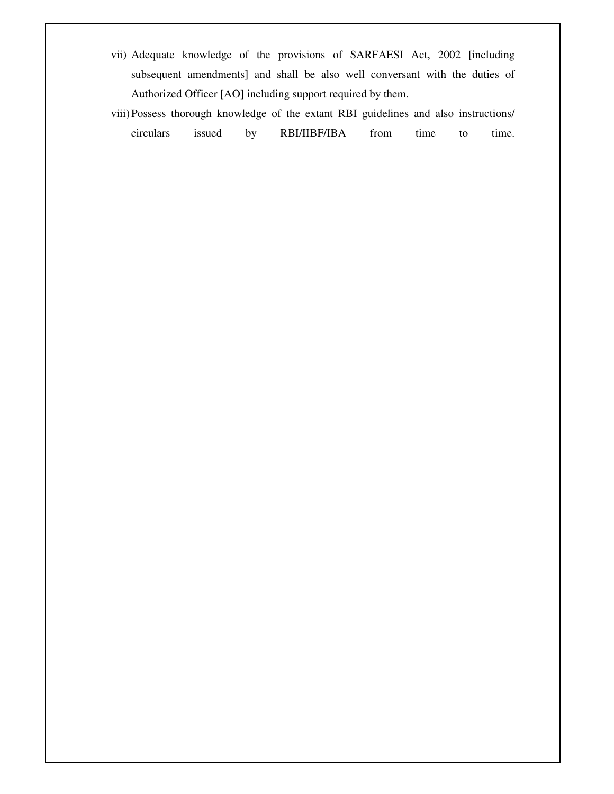- vii) Adequate knowledge of the provisions of SARFAESI Act, 2002 [including subsequent amendments] and shall be also well conversant with the duties of Authorized Officer [AO] including support required by them.
- viii)Possess thorough knowledge of the extant RBI guidelines and also instructions/ circulars issued by RBI/IIBF/IBA from time to time.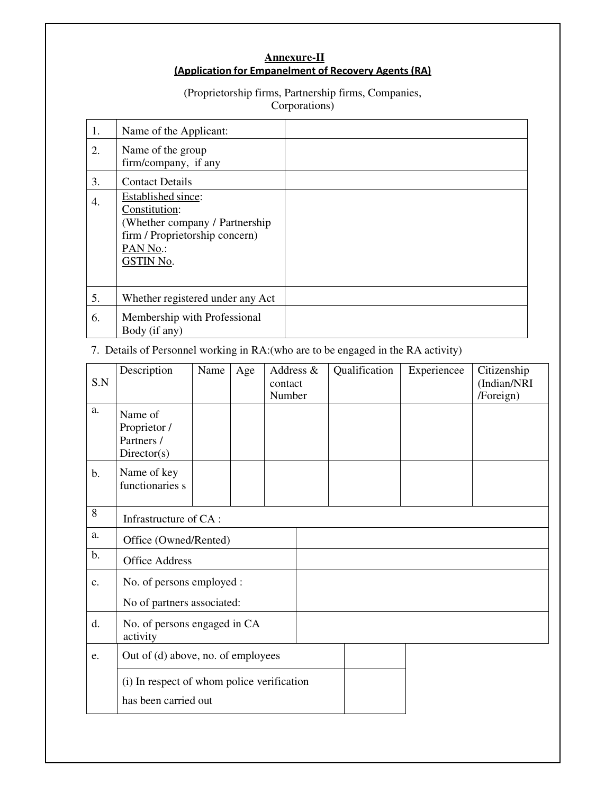### **Annexure-II** (Application for Empanelment of Recovery Agents (RA)

# (Proprietorship firms, Partnership firms, Companies,

Corporations)

| 1. | Name of the Applicant:                                                                                                           |  |
|----|----------------------------------------------------------------------------------------------------------------------------------|--|
| 2. | Name of the group<br>firm/company, if any                                                                                        |  |
| 3. | <b>Contact Details</b>                                                                                                           |  |
| 4. | Established since:<br>Constitution:<br>(Whether company / Partnership<br>firm / Proprietorship concern)<br>PAN No.:<br>GSTIN No. |  |
| 5. | Whether registered under any Act                                                                                                 |  |
| 6. | Membership with Professional<br>Body (if any)                                                                                    |  |

## 7. Details of Personnel working in RA:(who are to be engaged in the RA activity)

| S.N           | Description                                                        | Name | Age | Address &<br>contact<br>Number | Qualification | Experiencee | Citizenship<br>(Indian/NRI<br>/Foreign) |
|---------------|--------------------------------------------------------------------|------|-----|--------------------------------|---------------|-------------|-----------------------------------------|
| a.            | Name of<br>Proprietor /<br>Partners /<br>Directory(s)              |      |     |                                |               |             |                                         |
| $b$ .         | Name of key<br>functionaries s                                     |      |     |                                |               |             |                                         |
| 8             | Infrastructure of CA:                                              |      |     |                                |               |             |                                         |
| a.            | Office (Owned/Rented)                                              |      |     |                                |               |             |                                         |
| $\mathbf b$ . | <b>Office Address</b>                                              |      |     |                                |               |             |                                         |
| c.            | No. of persons employed :                                          |      |     |                                |               |             |                                         |
|               | No of partners associated:                                         |      |     |                                |               |             |                                         |
| d.            | No. of persons engaged in CA<br>activity                           |      |     |                                |               |             |                                         |
| e.            | Out of (d) above, no. of employees                                 |      |     |                                |               |             |                                         |
|               | (i) In respect of whom police verification<br>has been carried out |      |     |                                |               |             |                                         |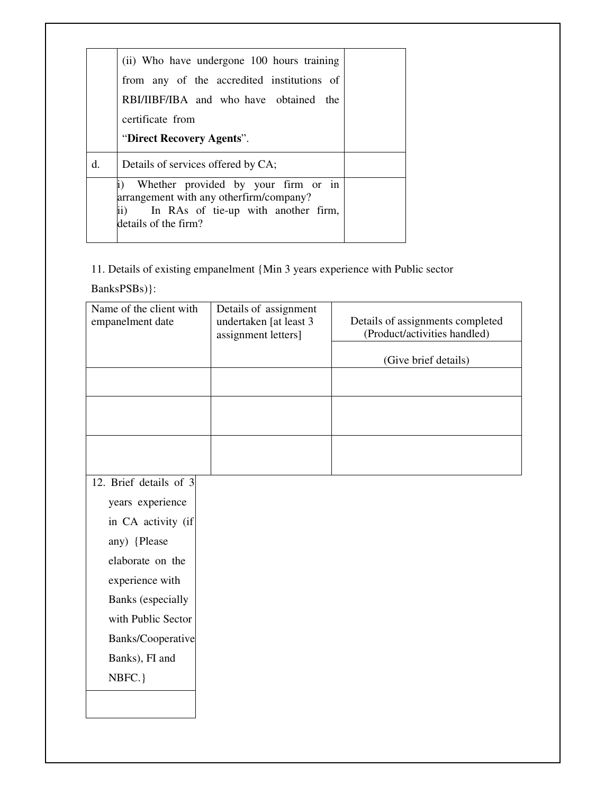|    | (ii) Who have undergone 100 hours training                                                                                                           |  |
|----|------------------------------------------------------------------------------------------------------------------------------------------------------|--|
|    | from any of the accredited institutions of                                                                                                           |  |
|    | RBI/IIBF/IBA and who have obtained the                                                                                                               |  |
|    | certificate from                                                                                                                                     |  |
|    | "Direct Recovery Agents".                                                                                                                            |  |
| d. | Details of services offered by CA;                                                                                                                   |  |
|    | Whether provided by your firm or in<br>arrangement with any otherfirm/company?<br>In RAs of tie-up with another firm,<br>ii)<br>details of the firm? |  |
|    |                                                                                                                                                      |  |

## 11. Details of existing empanelment {Min 3 years experience with Public sector

 $Banks PSBs)\}:$ 

| Name of the client with<br>empanelment date | Details of assignment<br>undertaken [at least 3<br>assignment letters] | Details of assignments completed<br>(Product/activities handled) |
|---------------------------------------------|------------------------------------------------------------------------|------------------------------------------------------------------|
|                                             |                                                                        | (Give brief details)                                             |
|                                             |                                                                        |                                                                  |
|                                             |                                                                        |                                                                  |
|                                             |                                                                        |                                                                  |
|                                             |                                                                        |                                                                  |
| 12. Brief details of 3                      |                                                                        |                                                                  |
| years experience                            |                                                                        |                                                                  |
| in CA activity (if                          |                                                                        |                                                                  |
| any) {Please                                |                                                                        |                                                                  |
| elaborate on the                            |                                                                        |                                                                  |
| experience with                             |                                                                        |                                                                  |
| <b>Banks</b> (especially                    |                                                                        |                                                                  |
| with Public Sector                          |                                                                        |                                                                  |
| Banks/Cooperative                           |                                                                        |                                                                  |
| Banks), FI and                              |                                                                        |                                                                  |
| NBFC.}                                      |                                                                        |                                                                  |
|                                             |                                                                        |                                                                  |
|                                             |                                                                        |                                                                  |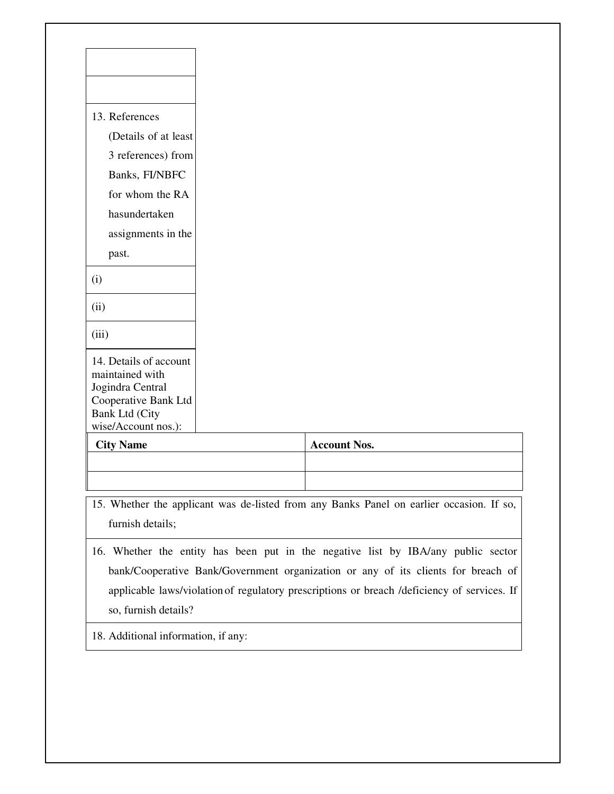| wise/Account nos.):<br><b>City Name</b> | <b>Account Nos.</b> |
|-----------------------------------------|---------------------|
| Cooperative Bank Ltd<br>Bank Ltd (City  |                     |
| maintained with<br>Jogindra Central     |                     |
| 14. Details of account                  |                     |
| (iii)                                   |                     |
| (ii)                                    |                     |
| (i)                                     |                     |
| past.                                   |                     |
| assignments in the                      |                     |
| hasundertaken                           |                     |
| for whom the RA                         |                     |
| Banks, FI/NBFC                          |                     |
| 3 references) from                      |                     |
| (Details of at least                    |                     |
| 13. References                          |                     |

- 15. Whether the applicant was de-listed from any Banks Panel on earlier occasion. If so, furnish details;
- 16. Whether the entity has been put in the negative list by IBA/any public sector bank/Cooperative Bank/Government organization or any of its clients for breach of applicable laws/violation of regulatory prescriptions or breach /deficiency of services. If so, furnish details?
- 18. Additional information, if any: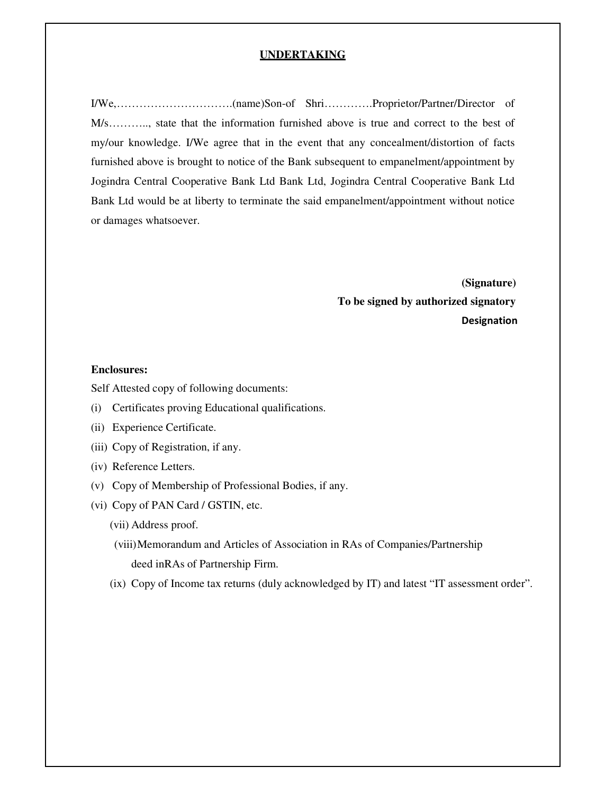### **UNDERTAKING**

I/We,………………………….(name)Son-of Shri………….Proprietor/Partner/Director of M/s……….., state that the information furnished above is true and correct to the best of my/our knowledge. I/We agree that in the event that any concealment/distortion of facts furnished above is brought to notice of the Bank subsequent to empanelment/appointment by Jogindra Central Cooperative Bank Ltd Bank Ltd, Jogindra Central Cooperative Bank Ltd Bank Ltd would be at liberty to terminate the said empanelment/appointment without notice or damages whatsoever.

> **(Signature) To be signed by authorized signatory**  Designation

### **Enclosures:**

Self Attested copy of following documents:

- (i) Certificates proving Educational qualifications.
- (ii) Experience Certificate.
- (iii) Copy of Registration, if any.
- (iv) Reference Letters.
- (v) Copy of Membership of Professional Bodies, if any.
- (vi) Copy of PAN Card / GSTIN, etc.
	- (vii) Address proof.
	- (viii)Memorandum and Articles of Association in RAs of Companies/Partnership deed in RAs of Partnership Firm.
	- (ix) Copy of Income tax returns (duly acknowledged by IT) and latest "IT assessment order".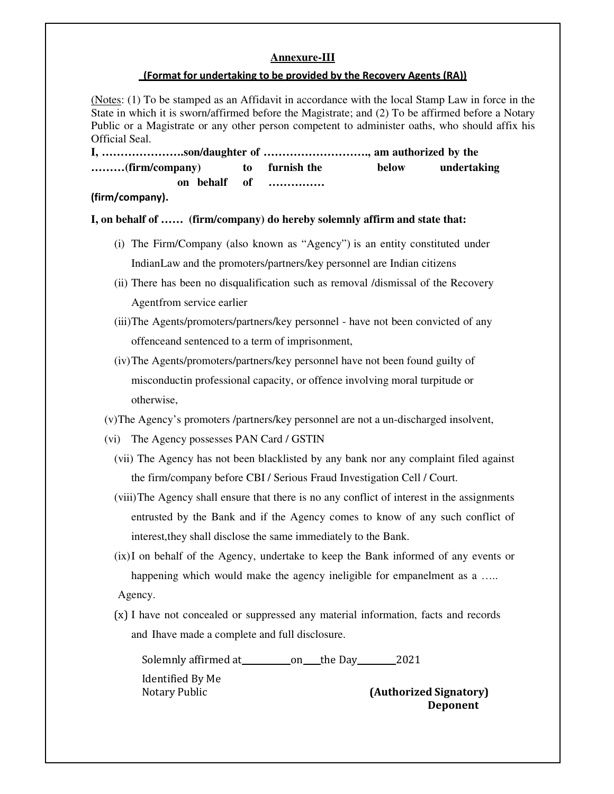### **Annexure-III**

### (Format for undertaking to be provided by the Recovery Agents (RA))

(Notes: (1) To be stamped as an Affidavit in accordance with the local Stamp Law in force in the State in which it is sworn/affirmed before the Magistrate; and (2) To be affirmed before a Notary Public or a Magistrate or any other person competent to administer oaths, who should affix his Official Seal.

**I, ………………….son/daughter of ………………………., am authorized by the ……… (firm/company) to furnish the below undertaking on behalf of ……………**

(firm/company).

### **I, on behalf of …… (firm/company) do hereby solemnly affirm and state that:**

- (i) The Firm/Company (also known as "Agency") is an entity constituted under Indian Law and the promoters/partners/key personnel are Indian citizens
- (ii) There has been no disqualification such as removal /dismissal of the Recovery Agent from service earlier
- (iii)The Agents/promoters/partners/key personnel have not been convicted of any offence and sentenced to a term of imprisonment,
- (iv)The Agents/promoters/partners/key personnel have not been found guilty of misconductin professional capacity, or offence involving moral turpitude or otherwise,

(v)The Agency's promoters /partners/key personnel are not a un-discharged insolvent,

- (vi) The Agency possesses PAN Card / GSTIN
	- (vii) The Agency has not been blacklisted by any bank nor any complaint filed against the firm/company before CBI / Serious Fraud Investigation Cell / Court.
	- (viii)The Agency shall ensure that there is no any conflict of interest in the assignments entrusted by the Bank and if the Agency comes to know of any such conflict of interest, they shall disclose the same immediately to the Bank.
	- (ix)I on behalf of the Agency, undertake to keep the Bank informed of any events or happening which would make the agency ineligible for empanelment as a ..... Agency.
	- (x) I have not concealed or suppressed any material information, facts and records and Ihave made a complete and full disclosure.

Solemnly affirmed at on the Day 2021

Identified By Me

Notary Public (Authorized Signatory) Deponent